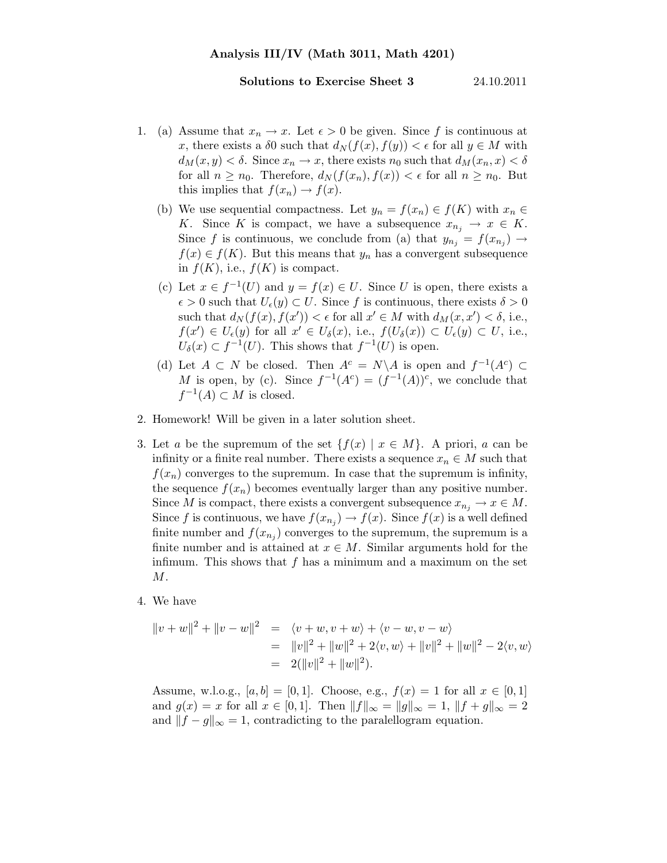## Solutions to Exercise Sheet 3 24.10.2011

- 1. (a) Assume that  $x_n \to x$ . Let  $\epsilon > 0$  be given. Since f is continuous at x, there exists a  $\delta 0$  such that  $d_N(f(x), f(y)) < \epsilon$  for all  $y \in M$  with  $d_M(x, y) < \delta$ . Since  $x_n \to x$ , there exists  $n_0$  such that  $d_M(x_n, x) < \delta$ for all  $n \geq n_0$ . Therefore,  $d_N(f(x_n), f(x)) < \epsilon$  for all  $n \geq n_0$ . But this implies that  $f(x_n) \to f(x)$ .
	- (b) We use sequential compactness. Let  $y_n = f(x_n) \in f(K)$  with  $x_n \in$ K. Since K is compact, we have a subsequence  $x_{n_i} \to x \in K$ . Since f is continuous, we conclude from (a) that  $y_{n_j} = f(x_{n_j}) \rightarrow$  $f(x) \in f(K)$ . But this means that  $y_n$  has a convergent subsequence in  $f(K)$ , i.e.,  $f(K)$  is compact.
	- (c) Let  $x \in f^{-1}(U)$  and  $y = f(x) \in U$ . Since U is open, there exists a  $\epsilon > 0$  such that  $U_{\epsilon}(y) \subset U$ . Since f is continuous, there exists  $\delta > 0$ such that  $d_N(f(x), f(x')) < \epsilon$  for all  $x' \in M$  with  $d_M(x, x') < \delta$ , i.e.,  $f(x') \in U_{\epsilon}(y)$  for all  $x' \in U_{\delta}(x)$ , i.e.,  $f(U_{\delta}(x)) \subset U_{\epsilon}(y) \subset U$ , i.e.,  $U_{\delta}(x) \subset f^{-1}(U)$ . This shows that  $f^{-1}(U)$  is open.
	- (d) Let  $A \subset N$  be closed. Then  $A^c = N \backslash A$  is open and  $f^{-1}(A^c) \subset$ M is open, by (c). Since  $f^{-1}(A^c) = (f^{-1}(A))^c$ , we conclude that  $f^{-1}(A) \subset M$  is closed.
- 2. Homework! Will be given in a later solution sheet.
- 3. Let a be the supremum of the set  $\{f(x) | x \in M\}$ . A priori, a can be infinity or a finite real number. There exists a sequence  $x_n \in M$  such that  $f(x_n)$  converges to the supremum. In case that the supremum is infinity, the sequence  $f(x_n)$  becomes eventually larger than any positive number. Since M is compact, there exists a convergent subsequence  $x_{n_i} \to x \in M$ . Since f is continuous, we have  $f(x_{n_j}) \to f(x)$ . Since  $f(x)$  is a well defined finite number and  $f(x_{n_j})$  converges to the supremum, the supremum is a finite number and is attained at  $x \in M$ . Similar arguments hold for the infimum. This shows that  $f$  has a minimum and a maximum on the set  $M$ .
- 4. We have

$$
||v + w||2 + ||v - w||2 = \langle v + w, v + w \rangle + \langle v - w, v - w \rangle
$$
  
=  $||v||2 + ||w||2 + 2\langle v, w \rangle + ||v||2 + ||w||2 - 2\langle v, w \rangle$   
=  $2(||v||2 + ||w||2).$ 

Assume, w.l.o.g.,  $[a, b] = [0, 1]$ . Choose, e.g.,  $f(x) = 1$  for all  $x \in [0, 1]$ and  $g(x) = x$  for all  $x \in [0, 1]$ . Then  $||f||_{\infty} = ||g||_{\infty} = 1$ ,  $||f + g||_{\infty} = 2$ and  $||f - g||_{\infty} = 1$ , contradicting to the paralellogram equation.